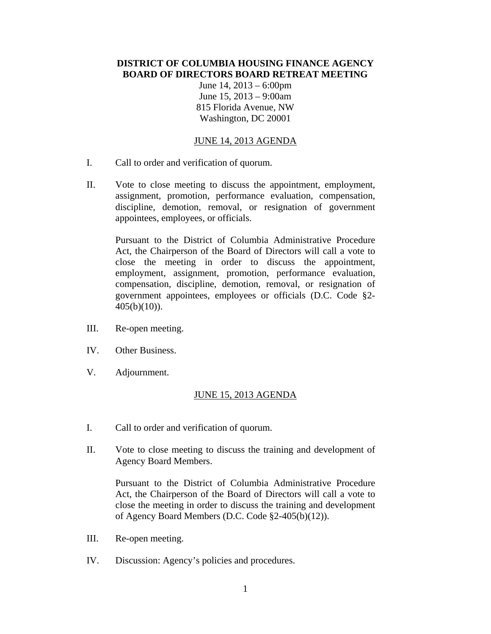## **DISTRICT OF COLUMBIA HOUSING FINANCE AGENCY BOARD OF DIRECTORS BOARD RETREAT MEETING**

June 14, 2013 – 6:00pm June 15, 2013 – 9:00am 815 Florida Avenue, NW Washington, DC 20001

## JUNE 14, 2013 AGENDA

- I. Call to order and verification of quorum.
- II. Vote to close meeting to discuss the appointment, employment, assignment, promotion, performance evaluation, compensation, discipline, demotion, removal, or resignation of government appointees, employees, or officials.

Pursuant to the District of Columbia Administrative Procedure Act, the Chairperson of the Board of Directors will call a vote to close the meeting in order to discuss the appointment, employment, assignment, promotion, performance evaluation, compensation, discipline, demotion, removal, or resignation of government appointees, employees or officials (D.C. Code §2-  $405(b)(10)$ .

- III. Re-open meeting.
- IV. Other Business.
- V. Adjournment.

## JUNE 15, 2013 AGENDA

- I. Call to order and verification of quorum.
- II. Vote to close meeting to discuss the training and development of Agency Board Members.

Pursuant to the District of Columbia Administrative Procedure Act, the Chairperson of the Board of Directors will call a vote to close the meeting in order to discuss the training and development of Agency Board Members (D.C. Code §2-405(b)(12)).

- III. Re-open meeting.
- IV. Discussion: Agency's policies and procedures.